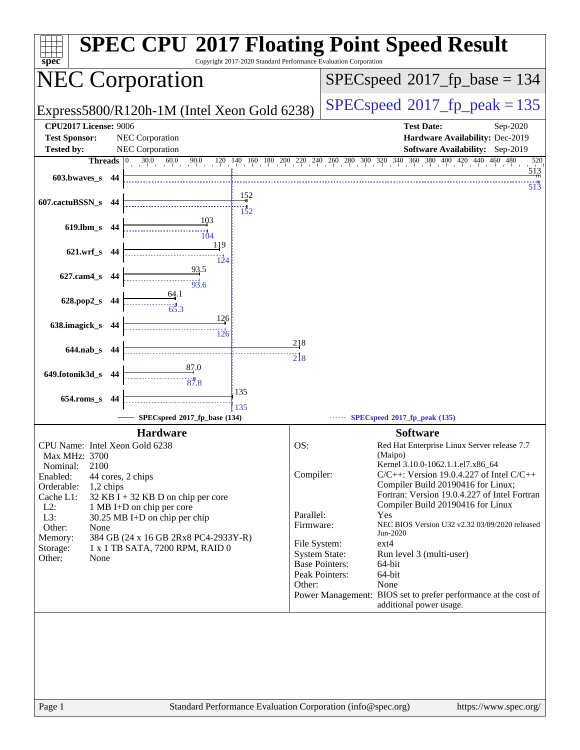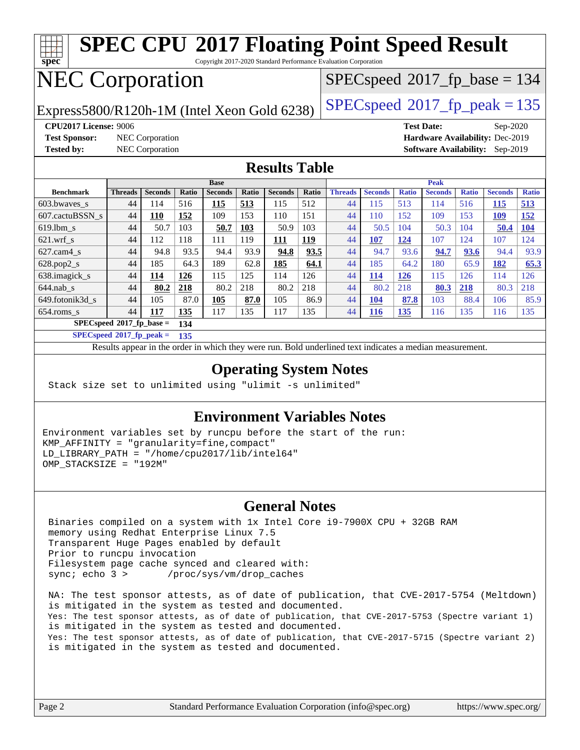| <b>SPEC CPU®2017 Floating Point Speed Result</b><br>$spec^*$<br>Copyright 2017-2020 Standard Performance Evaluation Corporation |                |                       |       |                |       |                       |                                          |                      |                       |                     |                       |                     |                |              |
|---------------------------------------------------------------------------------------------------------------------------------|----------------|-----------------------|-------|----------------|-------|-----------------------|------------------------------------------|----------------------|-----------------------|---------------------|-----------------------|---------------------|----------------|--------------|
| <b>NEC Corporation</b>                                                                                                          |                |                       |       |                |       |                       | $SPEC speed^{\circ}2017\_fp\_base = 134$ |                      |                       |                     |                       |                     |                |              |
| $SPEC speed^{\circ}2017$ _fp_peak = 135<br>Express5800/R120h-1M (Intel Xeon Gold 6238)                                          |                |                       |       |                |       |                       |                                          |                      |                       |                     |                       |                     |                |              |
| <b>CPU2017 License: 9006</b><br><b>Test Date:</b><br>Sep-2020                                                                   |                |                       |       |                |       |                       |                                          |                      |                       |                     |                       |                     |                |              |
| <b>Test Sponsor:</b><br>Hardware Availability: Dec-2019<br><b>NEC</b> Corporation                                               |                |                       |       |                |       |                       |                                          |                      |                       |                     |                       |                     |                |              |
| <b>Tested by:</b><br><b>NEC</b> Corporation<br><b>Software Availability:</b><br>Sep-2019                                        |                |                       |       |                |       |                       |                                          |                      |                       |                     |                       |                     |                |              |
| <b>Results Table</b>                                                                                                            |                |                       |       |                |       |                       |                                          |                      |                       |                     |                       |                     |                |              |
|                                                                                                                                 |                |                       |       | <b>Base</b>    |       |                       |                                          | <b>Peak</b>          |                       |                     |                       |                     |                |              |
| <b>Benchmark</b>                                                                                                                | <b>Threads</b> | <b>Seconds</b><br>114 | Ratio | <b>Seconds</b> | Ratio | <b>Seconds</b><br>115 | Ratio<br>512                             | <b>Threads</b><br>44 | <b>Seconds</b><br>115 | <b>Ratio</b><br>513 | <b>Seconds</b><br>114 | <b>Ratio</b><br>516 | <b>Seconds</b> | <b>Ratio</b> |
| 603.bwayes s                                                                                                                    | 44             |                       | 516   | 115            | 513   |                       |                                          |                      |                       |                     |                       |                     | 115            | 513          |
| 607.cactuBSSN s                                                                                                                 | 44             | 110                   | 152   | 109            | 153   | 110                   | 151                                      | 44                   | 110                   | 152                 | 109                   | 153                 | 109            | 152          |
| $619.$ lbm s                                                                                                                    | 44             | 50.7                  | 103   | 50.7           | 103   | 50.9                  | 103                                      | 44                   | 50.5                  | 104                 | 50.3                  | 104                 | 50.4           | <b>104</b>   |
| $621$ .wrf s                                                                                                                    | 44             | 112                   | 118   | 111            | 119   | 111                   | 119                                      | 44                   | <b>107</b>            | 124                 | 107                   | 124                 | 107            | 124          |
| $627.cam4_s$                                                                                                                    | 44             | 94.8                  | 93.5  | 94.4           | 93.9  | 94.8                  | 93.5                                     | 44                   | 94.7                  | 93.6                | 94.7                  | 93.6                | 94.4           | 93.9         |
| 628.pop2_s                                                                                                                      | 44             | 185                   | 64.3  | 189            | 62.8  | 185                   | 64.1                                     | 44                   | 185                   | 64.2                | 180                   | 65.9                | 182            | 65.3         |
| 638.imagick_s                                                                                                                   | 44             | 114                   | 126   | 115            | 125   | 114                   | 126                                      | 44                   | 114                   | 126                 | 115                   | 126                 | 114            | 126          |
| $644.nab$ <sub>s</sub>                                                                                                          | 44             | 80.2                  | 218   | 80.2           | 218   | 80.2                  | 218                                      | 44                   | 80.2                  | 218                 | 80.3                  | 218                 | 80.3           | 218          |
| 649.fotonik3d s                                                                                                                 | 44             | 105                   | 87.0  | 105            | 87.0  | 105                   | 86.9                                     | 44                   | <b>104</b>            | 87.8                | 103                   | 88.4                | 106            | 85.9         |
| 654.roms s                                                                                                                      | 44             | 117                   | 135   | 117            | 135   | 117                   | 135                                      | 44                   | 116                   | 135                 | 116                   | 135                 | 116            | 135          |
| $SPECspeed*2017_fp\_base =$<br>134                                                                                              |                |                       |       |                |       |                       |                                          |                      |                       |                     |                       |                     |                |              |
| $SPECspeed*2017$ fp peak =<br>135                                                                                               |                |                       |       |                |       |                       |                                          |                      |                       |                     |                       |                     |                |              |
| Results appear in the order in which they were run. Bold underlined text indicates a median measurement.                        |                |                       |       |                |       |                       |                                          |                      |                       |                     |                       |                     |                |              |

#### **[Operating System Notes](http://www.spec.org/auto/cpu2017/Docs/result-fields.html#OperatingSystemNotes)**

Stack size set to unlimited using "ulimit -s unlimited"

#### **[Environment Variables Notes](http://www.spec.org/auto/cpu2017/Docs/result-fields.html#EnvironmentVariablesNotes)**

Environment variables set by runcpu before the start of the run: KMP\_AFFINITY = "granularity=fine,compact" LD\_LIBRARY\_PATH = "/home/cpu2017/lib/intel64" OMP\_STACKSIZE = "192M"

#### **[General Notes](http://www.spec.org/auto/cpu2017/Docs/result-fields.html#GeneralNotes)**

 Binaries compiled on a system with 1x Intel Core i9-7900X CPU + 32GB RAM memory using Redhat Enterprise Linux 7.5 Transparent Huge Pages enabled by default Prior to runcpu invocation Filesystem page cache synced and cleared with: sync; echo 3 > /proc/sys/vm/drop\_caches

 NA: The test sponsor attests, as of date of publication, that CVE-2017-5754 (Meltdown) is mitigated in the system as tested and documented. Yes: The test sponsor attests, as of date of publication, that CVE-2017-5753 (Spectre variant 1) is mitigated in the system as tested and documented. Yes: The test sponsor attests, as of date of publication, that CVE-2017-5715 (Spectre variant 2) is mitigated in the system as tested and documented.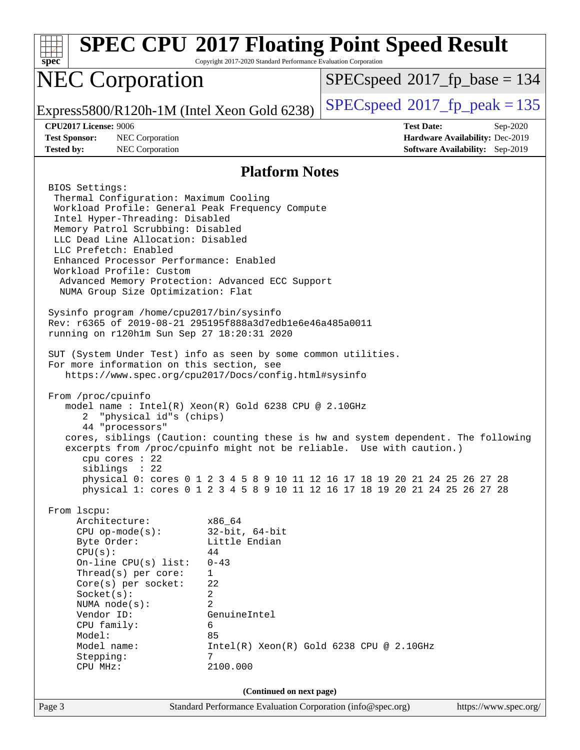| spec                                                                                                                                                                                                                                                                                                                                                             | Copyright 2017-2020 Standard Performance Evaluation Corporation                                                                     | <b>SPEC CPU®2017 Floating Point Speed Result</b>                                                                                                                                                                                           |  |  |  |  |
|------------------------------------------------------------------------------------------------------------------------------------------------------------------------------------------------------------------------------------------------------------------------------------------------------------------------------------------------------------------|-------------------------------------------------------------------------------------------------------------------------------------|--------------------------------------------------------------------------------------------------------------------------------------------------------------------------------------------------------------------------------------------|--|--|--|--|
| <b>NEC Corporation</b>                                                                                                                                                                                                                                                                                                                                           |                                                                                                                                     | $SPEC speed^{\circ}2017\_fp\_base = 134$                                                                                                                                                                                                   |  |  |  |  |
| Express5800/R120h-1M (Intel Xeon Gold 6238)                                                                                                                                                                                                                                                                                                                      |                                                                                                                                     | $SPEC speed^{\circ}2017$ fp peak = 135                                                                                                                                                                                                     |  |  |  |  |
| <b>CPU2017 License: 9006</b><br><b>Test Date:</b><br>Sep-2020                                                                                                                                                                                                                                                                                                    |                                                                                                                                     |                                                                                                                                                                                                                                            |  |  |  |  |
| <b>Test Sponsor:</b><br>NEC Corporation                                                                                                                                                                                                                                                                                                                          | Hardware Availability: Dec-2019                                                                                                     |                                                                                                                                                                                                                                            |  |  |  |  |
| <b>Tested by:</b><br>NEC Corporation<br><b>Software Availability:</b> Sep-2019                                                                                                                                                                                                                                                                                   |                                                                                                                                     |                                                                                                                                                                                                                                            |  |  |  |  |
|                                                                                                                                                                                                                                                                                                                                                                  | <b>Platform Notes</b>                                                                                                               |                                                                                                                                                                                                                                            |  |  |  |  |
| BIOS Settings:<br>Thermal Configuration: Maximum Cooling<br>Workload Profile: General Peak Frequency Compute<br>Intel Hyper-Threading: Disabled<br>Memory Patrol Scrubbing: Disabled<br>LLC Dead Line Allocation: Disabled<br>LLC Prefetch: Enabled<br>Enhanced Processor Performance: Enabled<br>Workload Profile: Custom<br>NUMA Group Size Optimization: Flat | Advanced Memory Protection: Advanced ECC Support                                                                                    |                                                                                                                                                                                                                                            |  |  |  |  |
| Sysinfo program /home/cpu2017/bin/sysinfo<br>Rev: r6365 of 2019-08-21 295195f888a3d7edble6e46a485a0011<br>running on r120h1m Sun Sep 27 18:20:31 2020                                                                                                                                                                                                            |                                                                                                                                     |                                                                                                                                                                                                                                            |  |  |  |  |
| SUT (System Under Test) info as seen by some common utilities.<br>For more information on this section, see<br>From /proc/cpuinfo<br>"physical id"s (chips)<br>2<br>44 "processors"<br>cpu cores : 22<br>siblings : 22                                                                                                                                           | https://www.spec.org/cpu2017/Docs/config.html#sysinfo<br>model name : Intel(R) Xeon(R) Gold 6238 CPU @ 2.10GHz                      | cores, siblings (Caution: counting these is hw and system dependent. The following<br>excerpts from /proc/cpuinfo might not be reliable. Use with caution.)<br>physical 0: cores 0 1 2 3 4 5 8 9 10 11 12 16 17 18 19 20 21 24 25 26 27 28 |  |  |  |  |
| From 1scpu:<br>Architecture:                                                                                                                                                                                                                                                                                                                                     | x86_64                                                                                                                              | physical 1: cores 0 1 2 3 4 5 8 9 10 11 12 16 17 18 19 20 21 24 25 26 27 28                                                                                                                                                                |  |  |  |  |
| $CPU$ op-mode(s):<br>Byte Order:<br>CPU(s):<br>On-line $CPU(s)$ list:<br>Thread(s) per core:<br>$Core(s)$ per socket:<br>Socket(s):<br>NUMA node(s):<br>Vendor ID:<br>CPU family:<br>Model:<br>Model name:<br>Stepping:<br>CPU MHz:                                                                                                                              | $32$ -bit, $64$ -bit<br>Little Endian<br>44<br>$0 - 43$<br>$\mathbf{1}$<br>22<br>2<br>2<br>GenuineIntel<br>6<br>85<br>7<br>2100.000 | $Intel(R)$ Xeon $(R)$ Gold 6238 CPU @ 2.10GHz                                                                                                                                                                                              |  |  |  |  |
|                                                                                                                                                                                                                                                                                                                                                                  | (Continued on next page)                                                                                                            |                                                                                                                                                                                                                                            |  |  |  |  |
| Page 3                                                                                                                                                                                                                                                                                                                                                           | Standard Performance Evaluation Corporation (info@spec.org)                                                                         | https://www.spec.org/                                                                                                                                                                                                                      |  |  |  |  |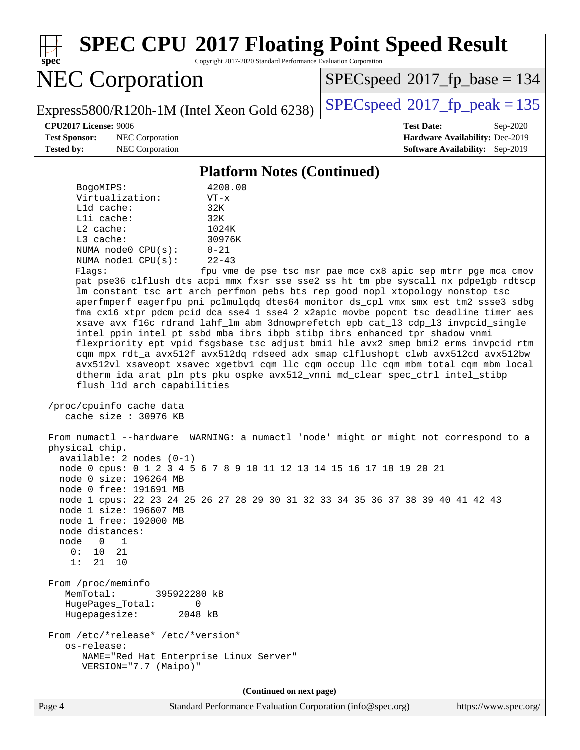**[spec](http://www.spec.org/)**

# **[SPEC CPU](http://www.spec.org/auto/cpu2017/Docs/result-fields.html#SPECCPU2017FloatingPointSpeedResult)[2017 Floating Point Speed Result](http://www.spec.org/auto/cpu2017/Docs/result-fields.html#SPECCPU2017FloatingPointSpeedResult)**

Copyright 2017-2020 Standard Performance Evaluation Corporation

# NEC Corporation

[SPECspeed](http://www.spec.org/auto/cpu2017/Docs/result-fields.html#SPECspeed2017fpbase)<sup>®</sup>2017 fp base = 134

Express5800/R120h-1M (Intel Xeon Gold 6238) [SPECspeed](http://www.spec.org/auto/cpu2017/Docs/result-fields.html#SPECspeed2017fppeak)<sup>®</sup>[2017\\_fp\\_peak = 1](http://www.spec.org/auto/cpu2017/Docs/result-fields.html#SPECspeed2017fppeak)35

**[Test Sponsor:](http://www.spec.org/auto/cpu2017/Docs/result-fields.html#TestSponsor)** NEC Corporation **[Hardware Availability:](http://www.spec.org/auto/cpu2017/Docs/result-fields.html#HardwareAvailability)** Dec-2019 **[Tested by:](http://www.spec.org/auto/cpu2017/Docs/result-fields.html#Testedby)** NEC Corporation **[Software Availability:](http://www.spec.org/auto/cpu2017/Docs/result-fields.html#SoftwareAvailability)** Sep-2019

**[CPU2017 License:](http://www.spec.org/auto/cpu2017/Docs/result-fields.html#CPU2017License)** 9006 **[Test Date:](http://www.spec.org/auto/cpu2017/Docs/result-fields.html#TestDate)** Sep-2020

#### **[Platform Notes \(Continued\)](http://www.spec.org/auto/cpu2017/Docs/result-fields.html#PlatformNotes)**

| BogoMIPS:          | 4200.00   |  |  |
|--------------------|-----------|--|--|
| Virtualization:    | $VT - x$  |  |  |
| $L1d$ cache:       | 32K       |  |  |
| Lli cache:         | 32K       |  |  |
| $L2$ cache:        | 1024K     |  |  |
| $L3$ cache:        | 30976K    |  |  |
| NUMA node0 CPU(s): | $0 - 21$  |  |  |
| NUMA nodel CPU(s): | $22 - 43$ |  |  |
|                    |           |  |  |

Flags: fpu vme de pse tsc msr pae mce cx8 apic sep mtrr pge mca cmov pat pse36 clflush dts acpi mmx fxsr sse sse2 ss ht tm pbe syscall nx pdpe1gb rdtscp lm constant\_tsc art arch\_perfmon pebs bts rep\_good nopl xtopology nonstop\_tsc aperfmperf eagerfpu pni pclmulqdq dtes64 monitor ds\_cpl vmx smx est tm2 ssse3 sdbg fma cx16 xtpr pdcm pcid dca sse4\_1 sse4\_2 x2apic movbe popcnt tsc\_deadline\_timer aes xsave avx f16c rdrand lahf\_lm abm 3dnowprefetch epb cat\_l3 cdp\_l3 invpcid\_single intel\_ppin intel\_pt ssbd mba ibrs ibpb stibp ibrs\_enhanced tpr\_shadow vnmi flexpriority ept vpid fsgsbase tsc\_adjust bmi1 hle avx2 smep bmi2 erms invpcid rtm cqm mpx rdt\_a avx512f avx512dq rdseed adx smap clflushopt clwb avx512cd avx512bw avx512vl xsaveopt xsavec xgetbv1 cqm\_llc cqm\_occup\_llc cqm\_mbm\_total cqm\_mbm\_local dtherm ida arat pln pts pku ospke avx512\_vnni md\_clear spec\_ctrl intel\_stibp flush\_l1d arch\_capabilities

 /proc/cpuinfo cache data cache size : 30976 KB

 From numactl --hardware WARNING: a numactl 'node' might or might not correspond to a physical chip. available: 2 nodes (0-1) node 0 cpus: 0 1 2 3 4 5 6 7 8 9 10 11 12 13 14 15 16 17 18 19 20 21 node 0 size: 196264 MB node 0 free: 191691 MB node 1 cpus: 22 23 24 25 26 27 28 29 30 31 32 33 34 35 36 37 38 39 40 41 42 43 node 1 size: 196607 MB node 1 free: 192000 MB node distances: node 0 1 0: 10 21 1: 21 10 From /proc/meminfo MemTotal: 395922280 kB HugePages\_Total: 0 Hugepagesize: 2048 kB From /etc/\*release\* /etc/\*version\* os-release: NAME="Red Hat Enterprise Linux Server" VERSION="7.7 (Maipo)"

**(Continued on next page)**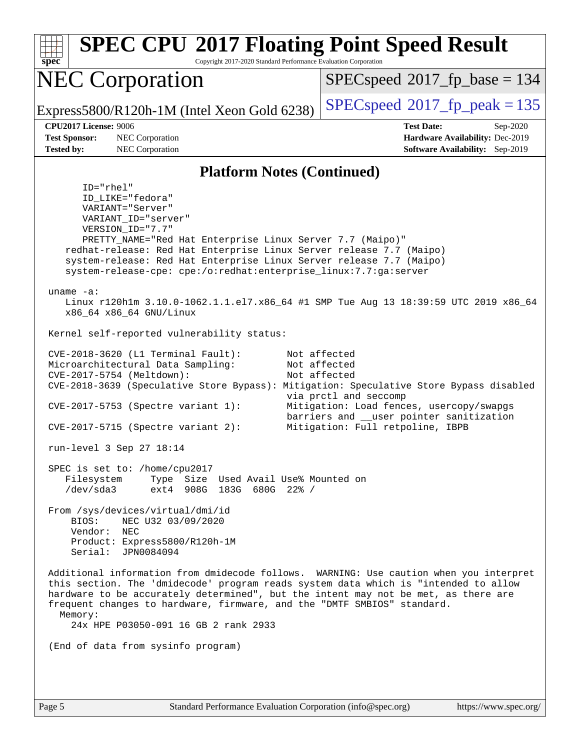| <b>SPEC CPU®2017 Floating Point Speed Result</b><br>Copyright 2017-2020 Standard Performance Evaluation Corporation<br>$spec^*$                                                                                                                                                                                                                                                                                                                                                                                                                               |                                                                                                                                                                                                   |  |  |  |  |  |
|---------------------------------------------------------------------------------------------------------------------------------------------------------------------------------------------------------------------------------------------------------------------------------------------------------------------------------------------------------------------------------------------------------------------------------------------------------------------------------------------------------------------------------------------------------------|---------------------------------------------------------------------------------------------------------------------------------------------------------------------------------------------------|--|--|--|--|--|
| <b>NEC Corporation</b>                                                                                                                                                                                                                                                                                                                                                                                                                                                                                                                                        | $SPEC speed^{\circ}2017\_fp\_base = 134$                                                                                                                                                          |  |  |  |  |  |
| Express5800/R120h-1M (Intel Xeon Gold 6238)                                                                                                                                                                                                                                                                                                                                                                                                                                                                                                                   | $SPEC speed^{\circ}2017$ _fp_peak = 135                                                                                                                                                           |  |  |  |  |  |
| CPU2017 License: 9006<br><b>Test Sponsor:</b><br>NEC Corporation<br><b>Tested by:</b><br>NEC Corporation                                                                                                                                                                                                                                                                                                                                                                                                                                                      | <b>Test Date:</b><br>Sep-2020<br>Hardware Availability: Dec-2019<br>Software Availability: Sep-2019                                                                                               |  |  |  |  |  |
| <b>Platform Notes (Continued)</b>                                                                                                                                                                                                                                                                                                                                                                                                                                                                                                                             |                                                                                                                                                                                                   |  |  |  |  |  |
| $ID="rhe1"$<br>ID_LIKE="fedora"<br>VARIANT="Server"<br>VARIANT_ID="server"<br>VERSION_ID="7.7"<br>PRETTY_NAME="Red Hat Enterprise Linux Server 7.7 (Maipo)"<br>redhat-release: Red Hat Enterprise Linux Server release 7.7 (Maipo)<br>system-release: Red Hat Enterprise Linux Server release 7.7 (Maipo)<br>system-release-cpe: cpe:/o:redhat:enterprise_linux:7.7:ga:server<br>$uname -a$ :<br>Linux r120hlm 3.10.0-1062.1.1.el7.x86_64 #1 SMP Tue Aug 13 18:39:59 UTC 2019 x86_64<br>x86_64 x86_64 GNU/Linux<br>Kernel self-reported vulnerability status: |                                                                                                                                                                                                   |  |  |  |  |  |
| CVE-2018-3620 (L1 Terminal Fault):<br>Microarchitectural Data Sampling:<br>CVE-2017-5754 (Meltdown):<br>CVE-2018-3639 (Speculative Store Bypass): Mitigation: Speculative Store Bypass disabled<br>CVE-2017-5753 (Spectre variant 1):<br>$CVE-2017-5715$ (Spectre variant 2):                                                                                                                                                                                                                                                                                 | Not affected<br>Not affected<br>Not affected<br>via prctl and seccomp<br>Mitigation: Load fences, usercopy/swapgs<br>barriers and __user pointer sanitization<br>Mitigation: Full retpoline, IBPB |  |  |  |  |  |
| run-level 3 Sep 27 18:14                                                                                                                                                                                                                                                                                                                                                                                                                                                                                                                                      |                                                                                                                                                                                                   |  |  |  |  |  |
| SPEC is set to: /home/cpu2017<br>Filesystem<br>Type Size Used Avail Use% Mounted on<br>$/\text{dev/sda}$ 3<br>ext4 908G 183G 680G 22% /                                                                                                                                                                                                                                                                                                                                                                                                                       |                                                                                                                                                                                                   |  |  |  |  |  |
| From /sys/devices/virtual/dmi/id<br>NEC U32 03/09/2020<br>BIOS:<br>Vendor: NEC<br>Product: Express5800/R120h-1M<br>Serial: JPN0084094                                                                                                                                                                                                                                                                                                                                                                                                                         |                                                                                                                                                                                                   |  |  |  |  |  |
| Additional information from dmidecode follows. WARNING: Use caution when you interpret<br>this section. The 'dmidecode' program reads system data which is "intended to allow<br>hardware to be accurately determined", but the intent may not be met, as there are<br>frequent changes to hardware, firmware, and the "DMTF SMBIOS" standard.<br>Memory:<br>24x HPE P03050-091 16 GB 2 rank 2933                                                                                                                                                             |                                                                                                                                                                                                   |  |  |  |  |  |
| (End of data from sysinfo program)                                                                                                                                                                                                                                                                                                                                                                                                                                                                                                                            |                                                                                                                                                                                                   |  |  |  |  |  |
|                                                                                                                                                                                                                                                                                                                                                                                                                                                                                                                                                               |                                                                                                                                                                                                   |  |  |  |  |  |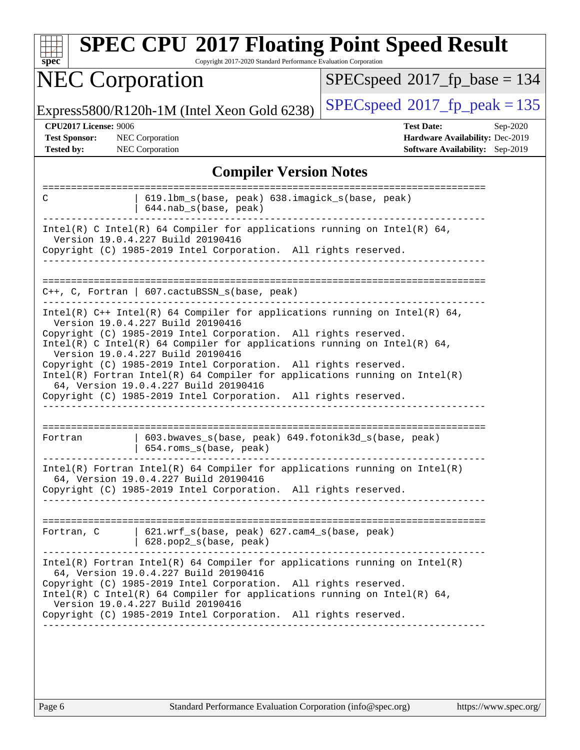| <b>SPEC CPU®2017 Floating Point Speed Result</b><br>Copyright 2017-2020 Standard Performance Evaluation Corporation<br>$spec^*$                                                                                                                                                                                                                                                                                                                                                                                                                                      |                                                                                                     |  |  |  |  |  |
|----------------------------------------------------------------------------------------------------------------------------------------------------------------------------------------------------------------------------------------------------------------------------------------------------------------------------------------------------------------------------------------------------------------------------------------------------------------------------------------------------------------------------------------------------------------------|-----------------------------------------------------------------------------------------------------|--|--|--|--|--|
| <b>NEC Corporation</b>                                                                                                                                                                                                                                                                                                                                                                                                                                                                                                                                               | $SPEC speed^{\circ}2017$ fp base = 134                                                              |  |  |  |  |  |
| Express5800/R120h-1M (Intel Xeon Gold 6238)                                                                                                                                                                                                                                                                                                                                                                                                                                                                                                                          | $SPEC speed^{\circ}2017$ fp peak = 135                                                              |  |  |  |  |  |
| CPU2017 License: 9006<br><b>Test Sponsor:</b><br>NEC Corporation<br><b>Tested by:</b><br><b>NEC</b> Corporation                                                                                                                                                                                                                                                                                                                                                                                                                                                      | <b>Test Date:</b><br>Sep-2020<br>Hardware Availability: Dec-2019<br>Software Availability: Sep-2019 |  |  |  |  |  |
| <b>Compiler Version Notes</b>                                                                                                                                                                                                                                                                                                                                                                                                                                                                                                                                        |                                                                                                     |  |  |  |  |  |
| 619.1bm_s(base, peak) 638.imagick_s(base, peak)<br>С<br>644.nab_s(base, peak)                                                                                                                                                                                                                                                                                                                                                                                                                                                                                        |                                                                                                     |  |  |  |  |  |
| Intel(R) C Intel(R) 64 Compiler for applications running on Intel(R) 64,<br>Version 19.0.4.227 Build 20190416<br>Copyright (C) 1985-2019 Intel Corporation. All rights reserved.                                                                                                                                                                                                                                                                                                                                                                                     |                                                                                                     |  |  |  |  |  |
| $C++$ , C, Fortran   607.cactuBSSN_s(base, peak)                                                                                                                                                                                                                                                                                                                                                                                                                                                                                                                     |                                                                                                     |  |  |  |  |  |
| Intel(R) $C++$ Intel(R) 64 Compiler for applications running on Intel(R) 64,<br>Version 19.0.4.227 Build 20190416<br>Copyright (C) 1985-2019 Intel Corporation. All rights reserved.<br>Intel(R) C Intel(R) 64 Compiler for applications running on Intel(R) 64,<br>Version 19.0.4.227 Build 20190416<br>Copyright (C) 1985-2019 Intel Corporation. All rights reserved.<br>$Intel(R)$ Fortran Intel(R) 64 Compiler for applications running on Intel(R)<br>64, Version 19.0.4.227 Build 20190416<br>Copyright (C) 1985-2019 Intel Corporation. All rights reserved. |                                                                                                     |  |  |  |  |  |
| ======================<br>603.bwaves_s(base, peak) 649.fotonik3d_s(base, peak)<br>Fortran<br>654.roms_s(base, peak)                                                                                                                                                                                                                                                                                                                                                                                                                                                  |                                                                                                     |  |  |  |  |  |
| $Intel(R)$ Fortran Intel(R) 64 Compiler for applications running on Intel(R)<br>64, Version 19.0.4.227 Build 20190416<br>Copyright (C) 1985-2019 Intel Corporation. All rights reserved.<br>_________________                                                                                                                                                                                                                                                                                                                                                        |                                                                                                     |  |  |  |  |  |
| Fortran, C   621.wrf_s(base, peak) 627.cam4_s(base, peak)<br>$  628.pop2_s(base, peak)$                                                                                                                                                                                                                                                                                                                                                                                                                                                                              |                                                                                                     |  |  |  |  |  |
| $Intel(R)$ Fortran Intel(R) 64 Compiler for applications running on Intel(R)<br>64, Version 19.0.4.227 Build 20190416<br>Copyright (C) 1985-2019 Intel Corporation. All rights reserved.<br>Intel(R) C Intel(R) 64 Compiler for applications running on Intel(R) 64,<br>Version 19.0.4.227 Build 20190416<br>Copyright (C) 1985-2019 Intel Corporation. All rights reserved.                                                                                                                                                                                         |                                                                                                     |  |  |  |  |  |
|                                                                                                                                                                                                                                                                                                                                                                                                                                                                                                                                                                      |                                                                                                     |  |  |  |  |  |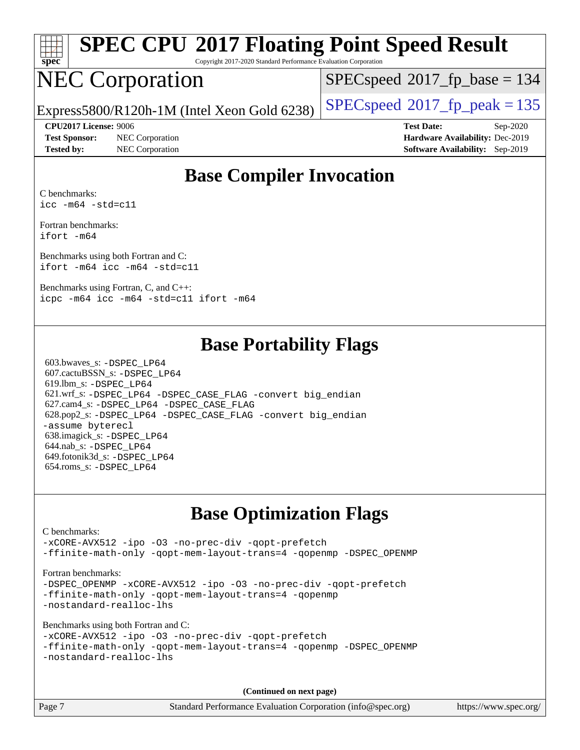

# **[SPEC CPU](http://www.spec.org/auto/cpu2017/Docs/result-fields.html#SPECCPU2017FloatingPointSpeedResult)[2017 Floating Point Speed Result](http://www.spec.org/auto/cpu2017/Docs/result-fields.html#SPECCPU2017FloatingPointSpeedResult)**

Copyright 2017-2020 Standard Performance Evaluation Corporation

# NEC Corporation

 $SPEC speed$ <sup>®</sup> $2017$ \_fp\_base = 134

Express5800/R120h-1M (Intel Xeon Gold 6238)  $\left|$  [SPECspeed](http://www.spec.org/auto/cpu2017/Docs/result-fields.html#SPECspeed2017fppeak)<sup>®</sup>[2017\\_fp\\_peak = 1](http://www.spec.org/auto/cpu2017/Docs/result-fields.html#SPECspeed2017fppeak)35

**[Test Sponsor:](http://www.spec.org/auto/cpu2017/Docs/result-fields.html#TestSponsor)** NEC Corporation **[Hardware Availability:](http://www.spec.org/auto/cpu2017/Docs/result-fields.html#HardwareAvailability)** Dec-2019

**[CPU2017 License:](http://www.spec.org/auto/cpu2017/Docs/result-fields.html#CPU2017License)** 9006 **[Test Date:](http://www.spec.org/auto/cpu2017/Docs/result-fields.html#TestDate)** Sep-2020 **[Tested by:](http://www.spec.org/auto/cpu2017/Docs/result-fields.html#Testedby)** NEC Corporation **[Software Availability:](http://www.spec.org/auto/cpu2017/Docs/result-fields.html#SoftwareAvailability)** Sep-2019

#### **[Base Compiler Invocation](http://www.spec.org/auto/cpu2017/Docs/result-fields.html#BaseCompilerInvocation)**

[C benchmarks:](http://www.spec.org/auto/cpu2017/Docs/result-fields.html#Cbenchmarks) [icc -m64 -std=c11](http://www.spec.org/cpu2017/results/res2020q4/cpu2017-20200928-24115.flags.html#user_CCbase_intel_icc_64bit_c11_33ee0cdaae7deeeab2a9725423ba97205ce30f63b9926c2519791662299b76a0318f32ddfffdc46587804de3178b4f9328c46fa7c2b0cd779d7a61945c91cd35)

[Fortran benchmarks](http://www.spec.org/auto/cpu2017/Docs/result-fields.html#Fortranbenchmarks): [ifort -m64](http://www.spec.org/cpu2017/results/res2020q4/cpu2017-20200928-24115.flags.html#user_FCbase_intel_ifort_64bit_24f2bb282fbaeffd6157abe4f878425411749daecae9a33200eee2bee2fe76f3b89351d69a8130dd5949958ce389cf37ff59a95e7a40d588e8d3a57e0c3fd751)

[Benchmarks using both Fortran and C:](http://www.spec.org/auto/cpu2017/Docs/result-fields.html#BenchmarksusingbothFortranandC) [ifort -m64](http://www.spec.org/cpu2017/results/res2020q4/cpu2017-20200928-24115.flags.html#user_CC_FCbase_intel_ifort_64bit_24f2bb282fbaeffd6157abe4f878425411749daecae9a33200eee2bee2fe76f3b89351d69a8130dd5949958ce389cf37ff59a95e7a40d588e8d3a57e0c3fd751) [icc -m64 -std=c11](http://www.spec.org/cpu2017/results/res2020q4/cpu2017-20200928-24115.flags.html#user_CC_FCbase_intel_icc_64bit_c11_33ee0cdaae7deeeab2a9725423ba97205ce30f63b9926c2519791662299b76a0318f32ddfffdc46587804de3178b4f9328c46fa7c2b0cd779d7a61945c91cd35)

[Benchmarks using Fortran, C, and C++:](http://www.spec.org/auto/cpu2017/Docs/result-fields.html#BenchmarksusingFortranCandCXX) [icpc -m64](http://www.spec.org/cpu2017/results/res2020q4/cpu2017-20200928-24115.flags.html#user_CC_CXX_FCbase_intel_icpc_64bit_4ecb2543ae3f1412ef961e0650ca070fec7b7afdcd6ed48761b84423119d1bf6bdf5cad15b44d48e7256388bc77273b966e5eb805aefd121eb22e9299b2ec9d9) [icc -m64 -std=c11](http://www.spec.org/cpu2017/results/res2020q4/cpu2017-20200928-24115.flags.html#user_CC_CXX_FCbase_intel_icc_64bit_c11_33ee0cdaae7deeeab2a9725423ba97205ce30f63b9926c2519791662299b76a0318f32ddfffdc46587804de3178b4f9328c46fa7c2b0cd779d7a61945c91cd35) [ifort -m64](http://www.spec.org/cpu2017/results/res2020q4/cpu2017-20200928-24115.flags.html#user_CC_CXX_FCbase_intel_ifort_64bit_24f2bb282fbaeffd6157abe4f878425411749daecae9a33200eee2bee2fe76f3b89351d69a8130dd5949958ce389cf37ff59a95e7a40d588e8d3a57e0c3fd751)

#### **[Base Portability Flags](http://www.spec.org/auto/cpu2017/Docs/result-fields.html#BasePortabilityFlags)**

 603.bwaves\_s: [-DSPEC\\_LP64](http://www.spec.org/cpu2017/results/res2020q4/cpu2017-20200928-24115.flags.html#suite_basePORTABILITY603_bwaves_s_DSPEC_LP64) 607.cactuBSSN\_s: [-DSPEC\\_LP64](http://www.spec.org/cpu2017/results/res2020q4/cpu2017-20200928-24115.flags.html#suite_basePORTABILITY607_cactuBSSN_s_DSPEC_LP64) 619.lbm\_s: [-DSPEC\\_LP64](http://www.spec.org/cpu2017/results/res2020q4/cpu2017-20200928-24115.flags.html#suite_basePORTABILITY619_lbm_s_DSPEC_LP64) 621.wrf\_s: [-DSPEC\\_LP64](http://www.spec.org/cpu2017/results/res2020q4/cpu2017-20200928-24115.flags.html#suite_basePORTABILITY621_wrf_s_DSPEC_LP64) [-DSPEC\\_CASE\\_FLAG](http://www.spec.org/cpu2017/results/res2020q4/cpu2017-20200928-24115.flags.html#b621.wrf_s_baseCPORTABILITY_DSPEC_CASE_FLAG) [-convert big\\_endian](http://www.spec.org/cpu2017/results/res2020q4/cpu2017-20200928-24115.flags.html#user_baseFPORTABILITY621_wrf_s_convert_big_endian_c3194028bc08c63ac5d04de18c48ce6d347e4e562e8892b8bdbdc0214820426deb8554edfa529a3fb25a586e65a3d812c835984020483e7e73212c4d31a38223) 627.cam4\_s: [-DSPEC\\_LP64](http://www.spec.org/cpu2017/results/res2020q4/cpu2017-20200928-24115.flags.html#suite_basePORTABILITY627_cam4_s_DSPEC_LP64) [-DSPEC\\_CASE\\_FLAG](http://www.spec.org/cpu2017/results/res2020q4/cpu2017-20200928-24115.flags.html#b627.cam4_s_baseCPORTABILITY_DSPEC_CASE_FLAG) 628.pop2\_s: [-DSPEC\\_LP64](http://www.spec.org/cpu2017/results/res2020q4/cpu2017-20200928-24115.flags.html#suite_basePORTABILITY628_pop2_s_DSPEC_LP64) [-DSPEC\\_CASE\\_FLAG](http://www.spec.org/cpu2017/results/res2020q4/cpu2017-20200928-24115.flags.html#b628.pop2_s_baseCPORTABILITY_DSPEC_CASE_FLAG) [-convert big\\_endian](http://www.spec.org/cpu2017/results/res2020q4/cpu2017-20200928-24115.flags.html#user_baseFPORTABILITY628_pop2_s_convert_big_endian_c3194028bc08c63ac5d04de18c48ce6d347e4e562e8892b8bdbdc0214820426deb8554edfa529a3fb25a586e65a3d812c835984020483e7e73212c4d31a38223) [-assume byterecl](http://www.spec.org/cpu2017/results/res2020q4/cpu2017-20200928-24115.flags.html#user_baseFPORTABILITY628_pop2_s_assume_byterecl_7e47d18b9513cf18525430bbf0f2177aa9bf368bc7a059c09b2c06a34b53bd3447c950d3f8d6c70e3faf3a05c8557d66a5798b567902e8849adc142926523472) 638.imagick\_s: [-DSPEC\\_LP64](http://www.spec.org/cpu2017/results/res2020q4/cpu2017-20200928-24115.flags.html#suite_basePORTABILITY638_imagick_s_DSPEC_LP64) 644.nab\_s: [-DSPEC\\_LP64](http://www.spec.org/cpu2017/results/res2020q4/cpu2017-20200928-24115.flags.html#suite_basePORTABILITY644_nab_s_DSPEC_LP64) 649.fotonik3d\_s: [-DSPEC\\_LP64](http://www.spec.org/cpu2017/results/res2020q4/cpu2017-20200928-24115.flags.html#suite_basePORTABILITY649_fotonik3d_s_DSPEC_LP64) 654.roms\_s: [-DSPEC\\_LP64](http://www.spec.org/cpu2017/results/res2020q4/cpu2017-20200928-24115.flags.html#suite_basePORTABILITY654_roms_s_DSPEC_LP64)

### **[Base Optimization Flags](http://www.spec.org/auto/cpu2017/Docs/result-fields.html#BaseOptimizationFlags)**

#### [C benchmarks](http://www.spec.org/auto/cpu2017/Docs/result-fields.html#Cbenchmarks): [-xCORE-AVX512](http://www.spec.org/cpu2017/results/res2020q4/cpu2017-20200928-24115.flags.html#user_CCbase_f-xCORE-AVX512) [-ipo](http://www.spec.org/cpu2017/results/res2020q4/cpu2017-20200928-24115.flags.html#user_CCbase_f-ipo) [-O3](http://www.spec.org/cpu2017/results/res2020q4/cpu2017-20200928-24115.flags.html#user_CCbase_f-O3) [-no-prec-div](http://www.spec.org/cpu2017/results/res2020q4/cpu2017-20200928-24115.flags.html#user_CCbase_f-no-prec-div) [-qopt-prefetch](http://www.spec.org/cpu2017/results/res2020q4/cpu2017-20200928-24115.flags.html#user_CCbase_f-qopt-prefetch) [-ffinite-math-only](http://www.spec.org/cpu2017/results/res2020q4/cpu2017-20200928-24115.flags.html#user_CCbase_f_finite_math_only_cb91587bd2077682c4b38af759c288ed7c732db004271a9512da14a4f8007909a5f1427ecbf1a0fb78ff2a814402c6114ac565ca162485bbcae155b5e4258871) [-qopt-mem-layout-trans=4](http://www.spec.org/cpu2017/results/res2020q4/cpu2017-20200928-24115.flags.html#user_CCbase_f-qopt-mem-layout-trans_fa39e755916c150a61361b7846f310bcdf6f04e385ef281cadf3647acec3f0ae266d1a1d22d972a7087a248fd4e6ca390a3634700869573d231a252c784941a8) [-qopenmp](http://www.spec.org/cpu2017/results/res2020q4/cpu2017-20200928-24115.flags.html#user_CCbase_qopenmp_16be0c44f24f464004c6784a7acb94aca937f053568ce72f94b139a11c7c168634a55f6653758ddd83bcf7b8463e8028bb0b48b77bcddc6b78d5d95bb1df2967) [-DSPEC\\_OPENMP](http://www.spec.org/cpu2017/results/res2020q4/cpu2017-20200928-24115.flags.html#suite_CCbase_DSPEC_OPENMP) [Fortran benchmarks](http://www.spec.org/auto/cpu2017/Docs/result-fields.html#Fortranbenchmarks): -DSPEC OPENMP [-xCORE-AVX512](http://www.spec.org/cpu2017/results/res2020q4/cpu2017-20200928-24115.flags.html#user_FCbase_f-xCORE-AVX512) [-ipo](http://www.spec.org/cpu2017/results/res2020q4/cpu2017-20200928-24115.flags.html#user_FCbase_f-ipo) [-O3](http://www.spec.org/cpu2017/results/res2020q4/cpu2017-20200928-24115.flags.html#user_FCbase_f-O3) [-no-prec-div](http://www.spec.org/cpu2017/results/res2020q4/cpu2017-20200928-24115.flags.html#user_FCbase_f-no-prec-div) [-qopt-prefetch](http://www.spec.org/cpu2017/results/res2020q4/cpu2017-20200928-24115.flags.html#user_FCbase_f-qopt-prefetch) [-ffinite-math-only](http://www.spec.org/cpu2017/results/res2020q4/cpu2017-20200928-24115.flags.html#user_FCbase_f_finite_math_only_cb91587bd2077682c4b38af759c288ed7c732db004271a9512da14a4f8007909a5f1427ecbf1a0fb78ff2a814402c6114ac565ca162485bbcae155b5e4258871) [-qopt-mem-layout-trans=4](http://www.spec.org/cpu2017/results/res2020q4/cpu2017-20200928-24115.flags.html#user_FCbase_f-qopt-mem-layout-trans_fa39e755916c150a61361b7846f310bcdf6f04e385ef281cadf3647acec3f0ae266d1a1d22d972a7087a248fd4e6ca390a3634700869573d231a252c784941a8) [-qopenmp](http://www.spec.org/cpu2017/results/res2020q4/cpu2017-20200928-24115.flags.html#user_FCbase_qopenmp_16be0c44f24f464004c6784a7acb94aca937f053568ce72f94b139a11c7c168634a55f6653758ddd83bcf7b8463e8028bb0b48b77bcddc6b78d5d95bb1df2967) [-nostandard-realloc-lhs](http://www.spec.org/cpu2017/results/res2020q4/cpu2017-20200928-24115.flags.html#user_FCbase_f_2003_std_realloc_82b4557e90729c0f113870c07e44d33d6f5a304b4f63d4c15d2d0f1fab99f5daaed73bdb9275d9ae411527f28b936061aa8b9c8f2d63842963b95c9dd6426b8a) [Benchmarks using both Fortran and C](http://www.spec.org/auto/cpu2017/Docs/result-fields.html#BenchmarksusingbothFortranandC): [-xCORE-AVX512](http://www.spec.org/cpu2017/results/res2020q4/cpu2017-20200928-24115.flags.html#user_CC_FCbase_f-xCORE-AVX512) [-ipo](http://www.spec.org/cpu2017/results/res2020q4/cpu2017-20200928-24115.flags.html#user_CC_FCbase_f-ipo) [-O3](http://www.spec.org/cpu2017/results/res2020q4/cpu2017-20200928-24115.flags.html#user_CC_FCbase_f-O3) [-no-prec-div](http://www.spec.org/cpu2017/results/res2020q4/cpu2017-20200928-24115.flags.html#user_CC_FCbase_f-no-prec-div) [-qopt-prefetch](http://www.spec.org/cpu2017/results/res2020q4/cpu2017-20200928-24115.flags.html#user_CC_FCbase_f-qopt-prefetch) [-ffinite-math-only](http://www.spec.org/cpu2017/results/res2020q4/cpu2017-20200928-24115.flags.html#user_CC_FCbase_f_finite_math_only_cb91587bd2077682c4b38af759c288ed7c732db004271a9512da14a4f8007909a5f1427ecbf1a0fb78ff2a814402c6114ac565ca162485bbcae155b5e4258871) [-qopt-mem-layout-trans=4](http://www.spec.org/cpu2017/results/res2020q4/cpu2017-20200928-24115.flags.html#user_CC_FCbase_f-qopt-mem-layout-trans_fa39e755916c150a61361b7846f310bcdf6f04e385ef281cadf3647acec3f0ae266d1a1d22d972a7087a248fd4e6ca390a3634700869573d231a252c784941a8) [-qopenmp](http://www.spec.org/cpu2017/results/res2020q4/cpu2017-20200928-24115.flags.html#user_CC_FCbase_qopenmp_16be0c44f24f464004c6784a7acb94aca937f053568ce72f94b139a11c7c168634a55f6653758ddd83bcf7b8463e8028bb0b48b77bcddc6b78d5d95bb1df2967) [-DSPEC\\_OPENMP](http://www.spec.org/cpu2017/results/res2020q4/cpu2017-20200928-24115.flags.html#suite_CC_FCbase_DSPEC_OPENMP) [-nostandard-realloc-lhs](http://www.spec.org/cpu2017/results/res2020q4/cpu2017-20200928-24115.flags.html#user_CC_FCbase_f_2003_std_realloc_82b4557e90729c0f113870c07e44d33d6f5a304b4f63d4c15d2d0f1fab99f5daaed73bdb9275d9ae411527f28b936061aa8b9c8f2d63842963b95c9dd6426b8a) **(Continued on next page)**

Page 7 Standard Performance Evaluation Corporation [\(info@spec.org\)](mailto:info@spec.org) <https://www.spec.org/>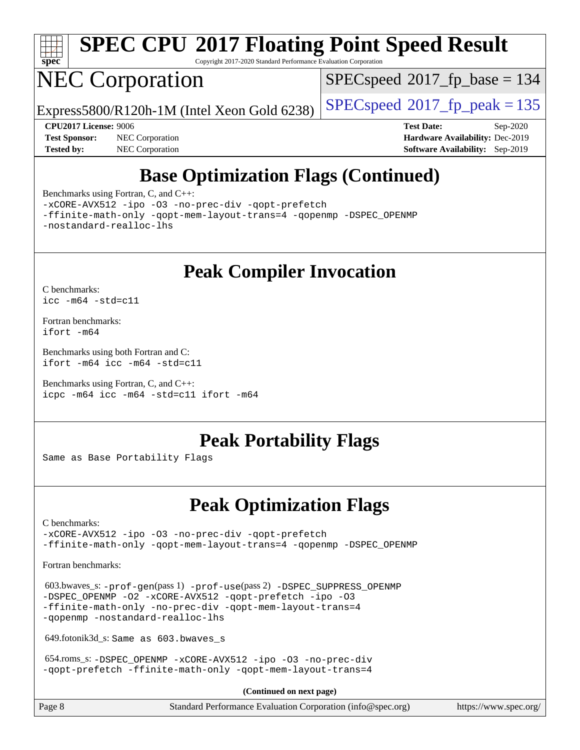

# **[SPEC CPU](http://www.spec.org/auto/cpu2017/Docs/result-fields.html#SPECCPU2017FloatingPointSpeedResult)[2017 Floating Point Speed Result](http://www.spec.org/auto/cpu2017/Docs/result-fields.html#SPECCPU2017FloatingPointSpeedResult)**

Copyright 2017-2020 Standard Performance Evaluation Corporation

# NEC Corporation

[SPECspeed](http://www.spec.org/auto/cpu2017/Docs/result-fields.html#SPECspeed2017fpbase)<sup>®</sup>2017 fp base = 134

Express5800/R120h-1M (Intel Xeon Gold 6238)  $\left|$  [SPECspeed](http://www.spec.org/auto/cpu2017/Docs/result-fields.html#SPECspeed2017fppeak)<sup>®</sup>[2017\\_fp\\_peak = 1](http://www.spec.org/auto/cpu2017/Docs/result-fields.html#SPECspeed2017fppeak)35

**[Tested by:](http://www.spec.org/auto/cpu2017/Docs/result-fields.html#Testedby)** NEC Corporation **[Software Availability:](http://www.spec.org/auto/cpu2017/Docs/result-fields.html#SoftwareAvailability)** Sep-2019

**[CPU2017 License:](http://www.spec.org/auto/cpu2017/Docs/result-fields.html#CPU2017License)** 9006 **[Test Date:](http://www.spec.org/auto/cpu2017/Docs/result-fields.html#TestDate)** Sep-2020 **[Test Sponsor:](http://www.spec.org/auto/cpu2017/Docs/result-fields.html#TestSponsor)** NEC Corporation **[Hardware Availability:](http://www.spec.org/auto/cpu2017/Docs/result-fields.html#HardwareAvailability)** Dec-2019

## **[Base Optimization Flags \(Continued\)](http://www.spec.org/auto/cpu2017/Docs/result-fields.html#BaseOptimizationFlags)**

[Benchmarks using Fortran, C, and C++:](http://www.spec.org/auto/cpu2017/Docs/result-fields.html#BenchmarksusingFortranCandCXX)

[-xCORE-AVX512](http://www.spec.org/cpu2017/results/res2020q4/cpu2017-20200928-24115.flags.html#user_CC_CXX_FCbase_f-xCORE-AVX512) [-ipo](http://www.spec.org/cpu2017/results/res2020q4/cpu2017-20200928-24115.flags.html#user_CC_CXX_FCbase_f-ipo) [-O3](http://www.spec.org/cpu2017/results/res2020q4/cpu2017-20200928-24115.flags.html#user_CC_CXX_FCbase_f-O3) [-no-prec-div](http://www.spec.org/cpu2017/results/res2020q4/cpu2017-20200928-24115.flags.html#user_CC_CXX_FCbase_f-no-prec-div) [-qopt-prefetch](http://www.spec.org/cpu2017/results/res2020q4/cpu2017-20200928-24115.flags.html#user_CC_CXX_FCbase_f-qopt-prefetch)

[-ffinite-math-only](http://www.spec.org/cpu2017/results/res2020q4/cpu2017-20200928-24115.flags.html#user_CC_CXX_FCbase_f_finite_math_only_cb91587bd2077682c4b38af759c288ed7c732db004271a9512da14a4f8007909a5f1427ecbf1a0fb78ff2a814402c6114ac565ca162485bbcae155b5e4258871) [-qopt-mem-layout-trans=4](http://www.spec.org/cpu2017/results/res2020q4/cpu2017-20200928-24115.flags.html#user_CC_CXX_FCbase_f-qopt-mem-layout-trans_fa39e755916c150a61361b7846f310bcdf6f04e385ef281cadf3647acec3f0ae266d1a1d22d972a7087a248fd4e6ca390a3634700869573d231a252c784941a8) [-qopenmp](http://www.spec.org/cpu2017/results/res2020q4/cpu2017-20200928-24115.flags.html#user_CC_CXX_FCbase_qopenmp_16be0c44f24f464004c6784a7acb94aca937f053568ce72f94b139a11c7c168634a55f6653758ddd83bcf7b8463e8028bb0b48b77bcddc6b78d5d95bb1df2967) [-DSPEC\\_OPENMP](http://www.spec.org/cpu2017/results/res2020q4/cpu2017-20200928-24115.flags.html#suite_CC_CXX_FCbase_DSPEC_OPENMP) [-nostandard-realloc-lhs](http://www.spec.org/cpu2017/results/res2020q4/cpu2017-20200928-24115.flags.html#user_CC_CXX_FCbase_f_2003_std_realloc_82b4557e90729c0f113870c07e44d33d6f5a304b4f63d4c15d2d0f1fab99f5daaed73bdb9275d9ae411527f28b936061aa8b9c8f2d63842963b95c9dd6426b8a)

## **[Peak Compiler Invocation](http://www.spec.org/auto/cpu2017/Docs/result-fields.html#PeakCompilerInvocation)**

[C benchmarks](http://www.spec.org/auto/cpu2017/Docs/result-fields.html#Cbenchmarks): [icc -m64 -std=c11](http://www.spec.org/cpu2017/results/res2020q4/cpu2017-20200928-24115.flags.html#user_CCpeak_intel_icc_64bit_c11_33ee0cdaae7deeeab2a9725423ba97205ce30f63b9926c2519791662299b76a0318f32ddfffdc46587804de3178b4f9328c46fa7c2b0cd779d7a61945c91cd35)

[Fortran benchmarks](http://www.spec.org/auto/cpu2017/Docs/result-fields.html#Fortranbenchmarks): [ifort -m64](http://www.spec.org/cpu2017/results/res2020q4/cpu2017-20200928-24115.flags.html#user_FCpeak_intel_ifort_64bit_24f2bb282fbaeffd6157abe4f878425411749daecae9a33200eee2bee2fe76f3b89351d69a8130dd5949958ce389cf37ff59a95e7a40d588e8d3a57e0c3fd751)

[Benchmarks using both Fortran and C](http://www.spec.org/auto/cpu2017/Docs/result-fields.html#BenchmarksusingbothFortranandC): [ifort -m64](http://www.spec.org/cpu2017/results/res2020q4/cpu2017-20200928-24115.flags.html#user_CC_FCpeak_intel_ifort_64bit_24f2bb282fbaeffd6157abe4f878425411749daecae9a33200eee2bee2fe76f3b89351d69a8130dd5949958ce389cf37ff59a95e7a40d588e8d3a57e0c3fd751) [icc -m64 -std=c11](http://www.spec.org/cpu2017/results/res2020q4/cpu2017-20200928-24115.flags.html#user_CC_FCpeak_intel_icc_64bit_c11_33ee0cdaae7deeeab2a9725423ba97205ce30f63b9926c2519791662299b76a0318f32ddfffdc46587804de3178b4f9328c46fa7c2b0cd779d7a61945c91cd35)

[Benchmarks using Fortran, C, and C++:](http://www.spec.org/auto/cpu2017/Docs/result-fields.html#BenchmarksusingFortranCandCXX) [icpc -m64](http://www.spec.org/cpu2017/results/res2020q4/cpu2017-20200928-24115.flags.html#user_CC_CXX_FCpeak_intel_icpc_64bit_4ecb2543ae3f1412ef961e0650ca070fec7b7afdcd6ed48761b84423119d1bf6bdf5cad15b44d48e7256388bc77273b966e5eb805aefd121eb22e9299b2ec9d9) [icc -m64 -std=c11](http://www.spec.org/cpu2017/results/res2020q4/cpu2017-20200928-24115.flags.html#user_CC_CXX_FCpeak_intel_icc_64bit_c11_33ee0cdaae7deeeab2a9725423ba97205ce30f63b9926c2519791662299b76a0318f32ddfffdc46587804de3178b4f9328c46fa7c2b0cd779d7a61945c91cd35) [ifort -m64](http://www.spec.org/cpu2017/results/res2020q4/cpu2017-20200928-24115.flags.html#user_CC_CXX_FCpeak_intel_ifort_64bit_24f2bb282fbaeffd6157abe4f878425411749daecae9a33200eee2bee2fe76f3b89351d69a8130dd5949958ce389cf37ff59a95e7a40d588e8d3a57e0c3fd751)

### **[Peak Portability Flags](http://www.spec.org/auto/cpu2017/Docs/result-fields.html#PeakPortabilityFlags)**

Same as Base Portability Flags

## **[Peak Optimization Flags](http://www.spec.org/auto/cpu2017/Docs/result-fields.html#PeakOptimizationFlags)**

[C benchmarks](http://www.spec.org/auto/cpu2017/Docs/result-fields.html#Cbenchmarks):

[-xCORE-AVX512](http://www.spec.org/cpu2017/results/res2020q4/cpu2017-20200928-24115.flags.html#user_CCpeak_f-xCORE-AVX512) [-ipo](http://www.spec.org/cpu2017/results/res2020q4/cpu2017-20200928-24115.flags.html#user_CCpeak_f-ipo) [-O3](http://www.spec.org/cpu2017/results/res2020q4/cpu2017-20200928-24115.flags.html#user_CCpeak_f-O3) [-no-prec-div](http://www.spec.org/cpu2017/results/res2020q4/cpu2017-20200928-24115.flags.html#user_CCpeak_f-no-prec-div) [-qopt-prefetch](http://www.spec.org/cpu2017/results/res2020q4/cpu2017-20200928-24115.flags.html#user_CCpeak_f-qopt-prefetch) [-ffinite-math-only](http://www.spec.org/cpu2017/results/res2020q4/cpu2017-20200928-24115.flags.html#user_CCpeak_f_finite_math_only_cb91587bd2077682c4b38af759c288ed7c732db004271a9512da14a4f8007909a5f1427ecbf1a0fb78ff2a814402c6114ac565ca162485bbcae155b5e4258871) [-qopt-mem-layout-trans=4](http://www.spec.org/cpu2017/results/res2020q4/cpu2017-20200928-24115.flags.html#user_CCpeak_f-qopt-mem-layout-trans_fa39e755916c150a61361b7846f310bcdf6f04e385ef281cadf3647acec3f0ae266d1a1d22d972a7087a248fd4e6ca390a3634700869573d231a252c784941a8) [-qopenmp](http://www.spec.org/cpu2017/results/res2020q4/cpu2017-20200928-24115.flags.html#user_CCpeak_qopenmp_16be0c44f24f464004c6784a7acb94aca937f053568ce72f94b139a11c7c168634a55f6653758ddd83bcf7b8463e8028bb0b48b77bcddc6b78d5d95bb1df2967) [-DSPEC\\_OPENMP](http://www.spec.org/cpu2017/results/res2020q4/cpu2017-20200928-24115.flags.html#suite_CCpeak_DSPEC_OPENMP)

[Fortran benchmarks](http://www.spec.org/auto/cpu2017/Docs/result-fields.html#Fortranbenchmarks):

 603.bwaves\_s: [-prof-gen](http://www.spec.org/cpu2017/results/res2020q4/cpu2017-20200928-24115.flags.html#user_peakPASS1_FFLAGSPASS1_LDFLAGS603_bwaves_s_prof_gen_5aa4926d6013ddb2a31985c654b3eb18169fc0c6952a63635c234f711e6e63dd76e94ad52365559451ec499a2cdb89e4dc58ba4c67ef54ca681ffbe1461d6b36)(pass 1) [-prof-use](http://www.spec.org/cpu2017/results/res2020q4/cpu2017-20200928-24115.flags.html#user_peakPASS2_FFLAGSPASS2_LDFLAGS603_bwaves_s_prof_use_1a21ceae95f36a2b53c25747139a6c16ca95bd9def2a207b4f0849963b97e94f5260e30a0c64f4bb623698870e679ca08317ef8150905d41bd88c6f78df73f19)(pass 2) [-DSPEC\\_SUPPRESS\\_OPENMP](http://www.spec.org/cpu2017/results/res2020q4/cpu2017-20200928-24115.flags.html#suite_peakPASS1_FOPTIMIZE603_bwaves_s_DSPEC_SUPPRESS_OPENMP) -DSPEC OPENMP [-O2](http://www.spec.org/cpu2017/results/res2020q4/cpu2017-20200928-24115.flags.html#user_peakPASS1_FOPTIMIZE603_bwaves_s_f-O2) [-xCORE-AVX512](http://www.spec.org/cpu2017/results/res2020q4/cpu2017-20200928-24115.flags.html#user_peakPASS2_FOPTIMIZE603_bwaves_s_f-xCORE-AVX512) [-qopt-prefetch](http://www.spec.org/cpu2017/results/res2020q4/cpu2017-20200928-24115.flags.html#user_peakPASS1_FOPTIMIZEPASS2_FOPTIMIZE603_bwaves_s_f-qopt-prefetch) [-ipo](http://www.spec.org/cpu2017/results/res2020q4/cpu2017-20200928-24115.flags.html#user_peakPASS2_FOPTIMIZE603_bwaves_s_f-ipo) [-O3](http://www.spec.org/cpu2017/results/res2020q4/cpu2017-20200928-24115.flags.html#user_peakPASS2_FOPTIMIZE603_bwaves_s_f-O3) [-ffinite-math-only](http://www.spec.org/cpu2017/results/res2020q4/cpu2017-20200928-24115.flags.html#user_peakPASS1_FOPTIMIZEPASS2_FOPTIMIZE603_bwaves_s_f_finite_math_only_cb91587bd2077682c4b38af759c288ed7c732db004271a9512da14a4f8007909a5f1427ecbf1a0fb78ff2a814402c6114ac565ca162485bbcae155b5e4258871) [-no-prec-div](http://www.spec.org/cpu2017/results/res2020q4/cpu2017-20200928-24115.flags.html#user_peakPASS2_FOPTIMIZE603_bwaves_s_f-no-prec-div) [-qopt-mem-layout-trans=4](http://www.spec.org/cpu2017/results/res2020q4/cpu2017-20200928-24115.flags.html#user_peakPASS1_FOPTIMIZEPASS2_FOPTIMIZE603_bwaves_s_f-qopt-mem-layout-trans_fa39e755916c150a61361b7846f310bcdf6f04e385ef281cadf3647acec3f0ae266d1a1d22d972a7087a248fd4e6ca390a3634700869573d231a252c784941a8) [-qopenmp](http://www.spec.org/cpu2017/results/res2020q4/cpu2017-20200928-24115.flags.html#user_peakPASS2_FOPTIMIZE603_bwaves_s_qopenmp_16be0c44f24f464004c6784a7acb94aca937f053568ce72f94b139a11c7c168634a55f6653758ddd83bcf7b8463e8028bb0b48b77bcddc6b78d5d95bb1df2967) [-nostandard-realloc-lhs](http://www.spec.org/cpu2017/results/res2020q4/cpu2017-20200928-24115.flags.html#user_peakEXTRA_FOPTIMIZE603_bwaves_s_f_2003_std_realloc_82b4557e90729c0f113870c07e44d33d6f5a304b4f63d4c15d2d0f1fab99f5daaed73bdb9275d9ae411527f28b936061aa8b9c8f2d63842963b95c9dd6426b8a)

649.fotonik3d\_s: Same as 603.bwaves\_s

 654.roms\_s: [-DSPEC\\_OPENMP](http://www.spec.org/cpu2017/results/res2020q4/cpu2017-20200928-24115.flags.html#suite_peakFOPTIMIZE654_roms_s_DSPEC_OPENMP) [-xCORE-AVX512](http://www.spec.org/cpu2017/results/res2020q4/cpu2017-20200928-24115.flags.html#user_peakFOPTIMIZE654_roms_s_f-xCORE-AVX512) [-ipo](http://www.spec.org/cpu2017/results/res2020q4/cpu2017-20200928-24115.flags.html#user_peakFOPTIMIZE654_roms_s_f-ipo) [-O3](http://www.spec.org/cpu2017/results/res2020q4/cpu2017-20200928-24115.flags.html#user_peakFOPTIMIZE654_roms_s_f-O3) [-no-prec-div](http://www.spec.org/cpu2017/results/res2020q4/cpu2017-20200928-24115.flags.html#user_peakFOPTIMIZE654_roms_s_f-no-prec-div) [-qopt-prefetch](http://www.spec.org/cpu2017/results/res2020q4/cpu2017-20200928-24115.flags.html#user_peakFOPTIMIZE654_roms_s_f-qopt-prefetch) [-ffinite-math-only](http://www.spec.org/cpu2017/results/res2020q4/cpu2017-20200928-24115.flags.html#user_peakFOPTIMIZE654_roms_s_f_finite_math_only_cb91587bd2077682c4b38af759c288ed7c732db004271a9512da14a4f8007909a5f1427ecbf1a0fb78ff2a814402c6114ac565ca162485bbcae155b5e4258871) [-qopt-mem-layout-trans=4](http://www.spec.org/cpu2017/results/res2020q4/cpu2017-20200928-24115.flags.html#user_peakFOPTIMIZE654_roms_s_f-qopt-mem-layout-trans_fa39e755916c150a61361b7846f310bcdf6f04e385ef281cadf3647acec3f0ae266d1a1d22d972a7087a248fd4e6ca390a3634700869573d231a252c784941a8)

**(Continued on next page)**